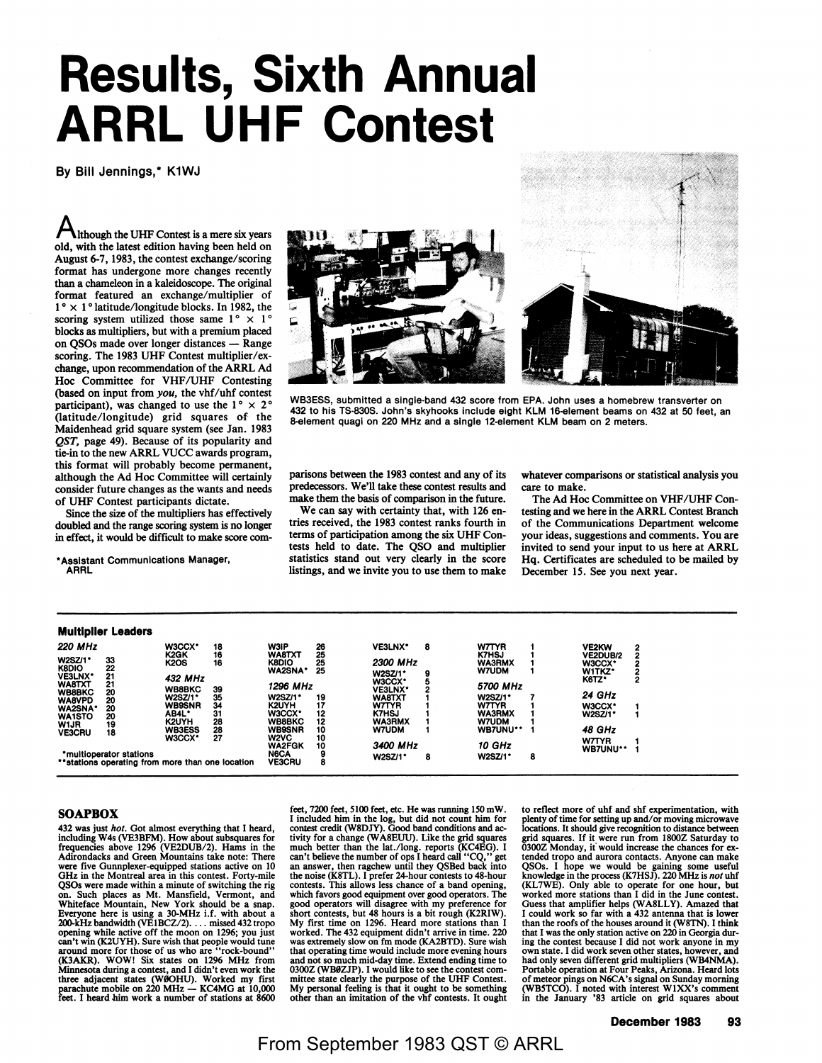## **Results, Sixth Annual ARRL UHF Contest**

By Bill Jennings,\* K1WJ

Although the UHF Contest is a mere six years old, with the latest edition having been held on August 6-7, 1983, the contest exchange/scoring format has undergone more changes recently than a chameleon in a kaleidoscope. The original format featured an exchange/multiplier of  $1^\circ \times 1^\circ$  latitude/longitude blocks. In 1982, the scoring system utilized those same  $1^{\circ} \times 1^{\circ}$ **blocks** as multipliers, but with a premium placed on QSOs made over longer distances - Range scoring. The 1983 UHF Contest multiplier/exchange, upon recommendation of the ARRL Ad Hoc Committee for VHF/UHF Contesting (based on input from *you,* the vhf/uhf contest participant), was changed to use the  $1^{\circ} \times 2^{\circ}$ (latitude/longitude) grid squares of the Maidenhead grid square system (see Jan. 1983 *QST,* page 49). Because of its popularity and tie-in to the new ARRL VUCC awards program, this format will probably become permanent, although the Ad Hoc Committee will certainly consider future changes as the wants and needs of UHF Contest participants dictate.

Since the size of the multipliers has effectively doubled and the range scoring system is no longer in effect, it would be difficult to make score com-

\* **Assistant** Communications **Manager, ARRL** 





WB3ESS, submitted a single-band 432 score from EPA. John uses a homebrew transverter on 432 to his TS-8308. John's skyhooks Include eight KLM 16-element beams on 432 at 50 feet, an 8-element quagi on 220 MHz and a single 12-element KLM beam on 2 meters.

parisons between the 1983 contest and any of its predecessors. We'll take these contest results and make them the basis of comparison in the future.

We can say with certainty that, with 126 entries received, the 1983 contest ranks fourth in terms of participation among the six UHF Contests held to date. The QSO and multiplier statistics stand out very clearly in the score listings, and we invite you to use them to make whatever comparisons or statistical analysis you care to make.

The Ad Hoc Committee on VHF/UHF Contesting and we here in the ARRL Contest Branch of the Communications Department welcome your ideas, suggestions and comments. You are invited to send your input to us here at ARRL Hq. Certificates are scheduled to be mailed by December 15. See you next year.

|                                | <b>Multiplier Leaders</b>                        |                             |          |                                                |          |                              |   |                               |   |                           |   |
|--------------------------------|--------------------------------------------------|-----------------------------|----------|------------------------------------------------|----------|------------------------------|---|-------------------------------|---|---------------------------|---|
| <b>220 MHz</b>                 |                                                  | W3CCX*<br>K <sub>2</sub> GK | 18<br>16 | <b>W3IP</b><br>WA8TXT                          | 26<br>25 | VE3LNX*                      | 8 | <b>W7TYR</b><br><b>K7HSJ</b>  |   | VE2KW                     | 2 |
| W2SZ/1*<br>K8DIO               | 33<br>22                                         | <b>K2OS</b>                 | 16       | <b>K8DIO</b>                                   | 25       | <b>2300 MHz</b>              |   | <b>WA3RMX</b>                 |   | <b>VE2DUB/2</b><br>W3CCX* |   |
| VE3LNX*<br><b>WA8TXT</b>       | 21<br>21                                         | 432 MHz                     |          | WA2SNA*                                        | 25       | W2SZ/1*<br>W3CCX*            |   | <b>W7UDM</b>                  |   | W1TKZ*<br>K6TZ*           | 2 |
| <b>WB8BKC</b>                  | 20                                               | <b>WB8BKC</b><br>W2SZ/1*    | 39<br>35 | 1296 MHz<br>W2SZ/1*                            | 19       | VE3LNX*<br>WA8TXT            |   | 5700 MHz<br><b>W2SZ/1*</b>    |   | 24 GHz                    |   |
| <b>WA8VPD</b><br><b>WA2SNA</b> | 20<br>20                                         | <b>WB9SNR</b><br>AB4L'      | 34<br>31 | K2UYH<br>W3CCX*                                | 17<br>12 | <b>W7TYR</b><br><b>K7HSJ</b> |   | <b>W7TYR</b><br><b>WA3RMX</b> |   | W3CCX*                    |   |
| <b>WA1STO</b><br>W1JR          | 20<br>19                                         | K2UYH                       | 28       | <b>WB8BKC</b>                                  | 12       | <b>WA3RMX</b>                |   | W7UDM                         |   | W2SZ/1*                   |   |
| <b>VE3CRU</b>                  | 18                                               | <b>WB3ESS</b><br>W3CCX*     | 28<br>27 | <b>WB9SNR</b><br>W <sub>2</sub> V <sub>C</sub> | 10<br>10 | <b>W7UDM</b>                 |   | <b>WB7UNU**</b>               |   | 48 GHz<br><b>W7TYR</b>    |   |
|                                | *multioperator stations                          |                             |          | <b>WA2FGK</b><br><b>N6CA</b>                   | 10       | 3400 MHz<br><b>W2SZ/1*</b>   | 8 | 10 GHz<br><b>W2SZ/1*</b>      | 8 | WB7UNU**                  |   |
|                                | **stations operating from more than one location |                             |          | <b>VE3CRU</b>                                  | 8        |                              |   |                               |   |                           |   |

## **SOAPBOX**

432 was just hot. Got almost everything that I heard, including W4s (VE3BFM). How about subsquares for frequencies above 1296 (VE2DUB/2). Hams in the Adirondacks and Green Mountains take note: There **were** five Gunnplexer-equipped stations active on 10 GHz in the Montreal area in this contest. Forty-mile QSOs were made within a minute of switching the rig on. Such places as Mt. Mansfield, Vermont, and<br>Whiteface Mountain, New York should be a snap.<br>Everyone here is using a 30-MHz i.f. with about a<br>200-kHz bandwidth (VE1BCZ/2).... missed 432 tropo<br>opening while active off the can't win (K2UYH). Sure wish that people would tune<br>around more for those of us who are "rock-bound"<br>(K3AKR). WOW! Six states on  $1296$  MHz from<br>Minnesota during a contest, and I didn't even work the<br>three adjacent states

feet, 7200 feet, 5100 feet, etc. He was running 150 mW.<br>I included him in the log, but did not count him for contest credit (W8DIY). Good band conditions and ac-<br>contest credit (W8DIY). Good band conditions and ac-<br>tivity contests. This allows less chance of a band opening, which favors good equipment over good operators. The good operators will disagree with my preference for hort contests, but 48 hours is a bit rough (K2RIW). My first time on 1296. Heard more stations than I worked. The 432 equipment didn't arrive in time. 220 was extremely slow on fm mode (KA2BTD). Sure wish that operating time would include more evening hours and not so much mid-day time. Extend ending time to 03002 (WB02JP). I would like to see the contest committee state clearly the purpose of the UHF Contest. My personal feeling is that it ought to be something other than an imitation of the vhf contests. It ought

to reflect more of uhf and shf experimentation, with plenty of time for setting up and/or moving microwave locstions. It should give recognition to distance **between**  grid squares. If it were run from 18002 Saturday to 03002 Monday, it would increase the chances for extended tropo and aurora contacts. Anyone can make QSOs. I hope we would be gaining some useful knowledge in the process (K7HSJ). 220 MHz is *not* uhf (KL7WE). Only able to operate for one hour, but worked more stations than I did in the June contest. Guess that amplifier helps (W A8LL Y). Amazed that could work so far with a 432 antenna that is lower than the roofs of the houses around it (WSTN). I think that I was the only station active on 220 in Georgia during the contest because I did not work anyone in my own state. I did work seven other states, however, and had only seven different grid multipliers (WB4NMA). Portable operation at Four Peaks, Arizona. Heard lots of meteor pings on N6CA's signal on Sunday morning (WBSTCO). I noted with interest WIXX's comment in the January '83 article on grid squares about

**December 1983 93** 

From September 1983 QST © ARRL